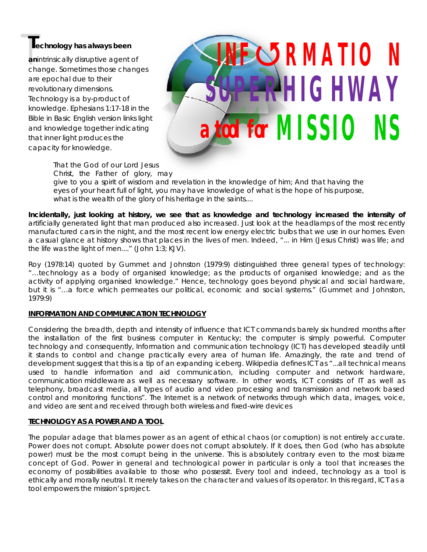**T**<br> **Technology has always been**<br> **anintrinsically disruptive agent of<br>
change. Sometimes those change an**intrinsically disruptive agent of change. Sometimes those changes are epochal due to their revolutionary dimensions. Technology is a by-product of knowledge. Ephesians 1:17-18 in the Bible in Basic English version links light and knowledge together indicating that inner light produces the capacity for knowledge.

# **a tool for MISSIONS INFRMATION HIGHWAY**

*That the God of our Lord Jesus Christ, the Father of glory, may give to you a spirit of wisdom and revelation in the knowledge of him; And that having the eyes of your heart full of light, you may have knowledge of what is the hope of his purpose, what is the wealth of the glory of his heritage in the saints....*

**Incidentally, just looking at history, we see that as knowledge and technology increased the intensity of**  artificially generated light that man produced also increased. Just look at the headlamps of the most recently manufactured cars in the night, and the most recent low energy electric bulbs that we use in our homes. Even a casual glance at history shows that places in the lives of men. Indeed, "... in Him (Jesus Christ) was life; and the life was the light of men...." (John 1:3; KJV).

Roy (1978:14) quoted by Gummet and Johnston (1979:9) distinguished three general types of technology: "…technology as a body of organised knowledge; as the products of organised knowledge; and as the activity of applying organised knowledge." Hence, technology goes beyond physical and social hardware, but it is "…a force which permeates our political, economic and social systems." (Gummet and Johnston, 1979:9)

# **INFORMATION AND COMMUNICATION TECHNOLOGY**

Considering the breadth, depth and intensity of influence that ICT commands barely six hundred months after the installation of the first business computer in Kentucky; the computer is simply powerful. Computer technology and consequently, Information and communication technology (ICT) has developed steadily until it stands to control and change practically every area of human life. Amazingly, the rate and trend of development suggest that this is a tip of an expanding iceberg. Wikipedia defines ICT as "...all technical means used to handle information and aid communication, including computer and network hardware, communication middleware as well as necessary software. In other words, ICT consists of IT as well as telephony, broadcast media, all types of audio and video processing and transmission and network based control and monitoring functions". The Internet is a network of networks through which data, images, voice, and video are sent and received through both wireless and fixed-wire devices

#### **TECHNOLOGY AS A POWER AND A TOOL**

The popular adage that blames power as an agent of ethical chaos (or corruption) is not entirely accurate. Power does not corrupt. Absolute power does not corrupt absolutely. If it does, then God (who has absolute power) must be the most corrupt being in the universe. This is absolutely contrary even to the most bizarre concept of God. Power in general and technological power in particular is only a tool that increases the economy of possibilities available to those who possessit. Every tool and indeed, technology as a tool is ethically and morally neutral. It merely takes on the character and values of its operator. In this regard, ICT as a tool empowers the mission's project.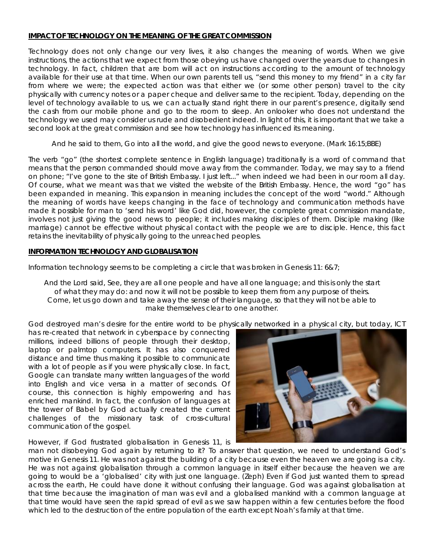#### **IMPACT OF TECHNOLOGY ON THE MEANING OF THE GREAT COMMISSION**

Technology does not only change our very lives, it also changes the meaning of words. When we give instructions, the actions that we expect from those obeying us have changed over the years due to changes in technology. In fact, children that are born will act on instructions according to the amount of technology available for their use at that time. When our own parents tell us, "send this money to my friend" in a city far from where we were; the expected action was that either we (or some other person) travel to the city physically with currency notes or a paper cheque and deliver same to the recipient. Today, depending on the level of technology available to us, we can actually stand right there in our parent's presence, digitally send the cash from our mobile phone and go to the room to sleep. An onlooker who does not understand the technology we used may consider us rude and disobedient indeed. In light of this, it is important that we take a second look at the great commission and see how technology has influenced its meaning.

*And he said to them, Go into all the world, and give the good news to everyone. (*Mark 16:15;BBE)

The verb "go" (the shortest complete sentence in English language) traditionally is a word of command that means that the person commanded should move away from the commander. Today, we may say to a friend on phone; "I've gone to the site of British Embassy. I just left..." when indeed we had been in our room all day. Of course, what we meant was that we visited the website of the British Embassy. Hence, the word "go" has been expanded in meaning. This expansion in meaning includes the concept of the word "world." Although the meaning of words have keeps changing in the face of technology and communication methods have made it possible for man to 'send his word' like God did, however, the complete great commission mandate, involves not just giving the good news to people; it includes making disciples of them. Disciple making (like marriage) cannot be effective without physical contact with the people we are to disciple. Hence, this fact retains the inevitability of physically going to the unreached peoples.

#### **INFORMATION TECHNOLOGY AND GLOBALISATION**

Information technology seems to be completing a circle that was broken in Genesis 11: 6&7;

*And the Lord said, See, they are all one people and have all one language; and this is only the start of what they may do: and now it will not be possible to keep them from any purpose of theirs. Come, let us go down and take away the sense of their language, so that they will not be able to make themselves clear to one another.*

God destroyed man's desire for the entire world to be physically networked in a physical city, but today, ICT

has re-created that network in cyberspace by connecting millions, indeed billions of people through their desktop, laptop or palmtop computers. It has also conquered distance and time thus making it possible to communicate with a lot of people as if you were physically close. In fact, Google can translate many written languages of the world into English and vice versa in a matter of seconds. Of course, this connection is highly empowering and has enriched mankind. In fact, the confusion of languages at the tower of Babel by God actually created the current challenges of the missionary task of cross-cultural communication of the gospel.

However, if God frustrated globalisation in Genesis 11, is



man not disobeying God again by returning to it? To answer that question, we need to understand God's motive in Genesis 11. He was not against the building of a city because even the heaven we are going is a city. He was not against globalisation through a common language in itself either because the heaven we are going to would be a 'globalised' city with just one language. (Zeph) Even if God just wanted them to spread across the earth, He could have done it without confusing their language. God was against globalisation at that time because the imagination of man was evil and a globalised mankind with a common language at that time would have seen the rapid spread of evil as we saw happen within a few centuries before the flood which led to the destruction of the entire population of the earth except Noah's family at that time.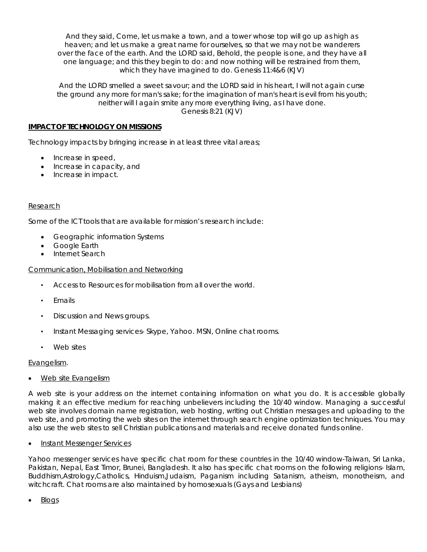*And they said, Come, let us make a town, and a tower whose top will go up as high as heaven; and let us make a great name for ourselves, so that we may not be wanderers over the face of the earth. And the LORD said, Behold, the people is one, and they have all one language; and this they begin to do: and now nothing will be restrained from them, which they have imagined to do.* Genesis 11:4&6 (KJV)

*And the LORD smelled a sweet savour; and the LORD said in his heart, I will not again curse the ground any more for man's sake; for the imagination of man's heart is evil from his youth; neither will I again smite any more everything living, as I have done.* Genesis 8:21 (KJV)

### **IMPACT OF TECHNOLOGY ON MISSIONS**

Technology impacts by bringing increase in at least three vital areas;

- Increase in speed,
- Increase in capacity, and
- Increase in impact.

#### Research

Some of the ICT tools that are available for mission's research include:

- Geographic information Systems
- Google Earth
- Internet Search

#### Communication, Mobilisation and Networking

- Access to Resources for mobilisation from all over the world.
- **Fmails**
- Discussion and News groups.
- Instant Messaging services- Skype, Yahoo. MSN, Online chat rooms.
- Web sites

#### Evangelism.

Web site Evangelism

A web site is your address on the internet containing information on what you do. It is accessible globally making it an effective medium for reaching unbelievers including the 10/40 window. Managing a successful web site involves domain name registration, web hosting, writing out Christian messages and uploading to the web site, and promoting the web sites on the internet through search engine optimization techniques. You may also use the web sites to sell Christian publications and materials and receive donated funds online.

#### Instant Messenger Services

Yahoo messenger services have specific chat room for these countries in the 10/40 window-Taiwan, Sri Lanka, Pakistan, Nepal, East Timor, Brunei, Bangladesh. It also has specific chat rooms on the following religions- Islam, Buddhism,Astrology,Catholics, Hinduism,Judaism, Paganism including Satanism, atheism, monotheism, and witchcraft. Chat rooms are also maintained by homosexuals (Gays and Lesbians)

Blogs